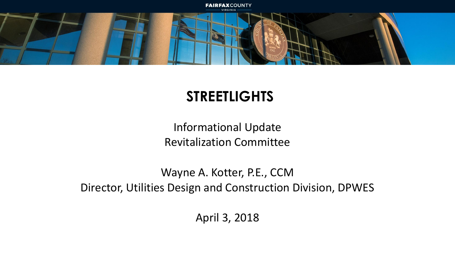

### **STREETLIGHTS**

Informational Update Revitalization Committee

Wayne A. Kotter, P.E., CCM Director, Utilities Design and Construction Division, DPWES

April 3, 2018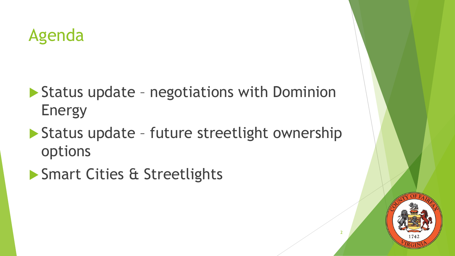## Agenda

- ▶ Status update negotiations with Dominion Energy
- ▶ Status update future streetlight ownership options
- **Smart Cities & Streetlights**



2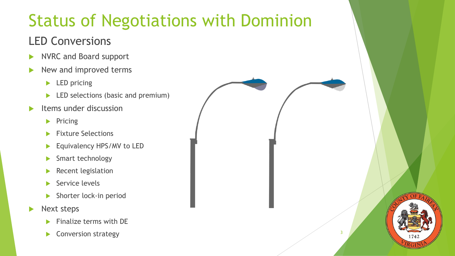# Status of Negotiations with Dominion

#### LED Conversions

- NVRC and Board support
- New and improved terms
	- $\blacktriangleright$  LED pricing
	- ED selections (basic and premium)
- Items under discussion
	- $\blacktriangleright$  Pricing
	- **Fixture Selections**
	- Equivalency HPS/MV to LED
	- Smart technology
	- $\blacktriangleright$  Recent legislation
	- $\blacktriangleright$  Service levels
	- Shorter lock-in period
- Next steps
	- Finalize terms with DE
	- $\blacktriangleright$  Conversion strategy  $\frac{3}{3}$

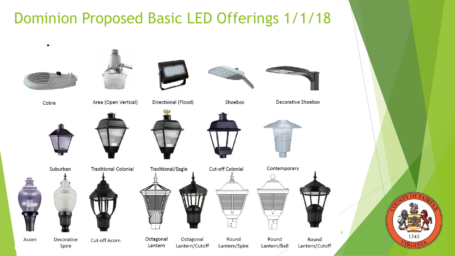## **Dominion Proposed Basic LED Offerings 1/1/18**



Cobra



Area (Open Vertical)

Directional (Flood)

Traditional/Eagle



**Cut-off Colonial** 

Shoebox





Contemporary Round Round

Lantern/Cutoff

Spire





**Cut-off Acorn** 



Octagonal Lantern/Cutoff

Round Lantern/Spire Lantern/Ball



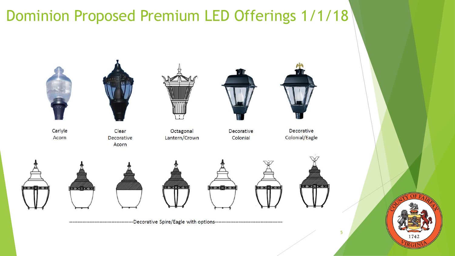## Dominion Proposed Premium LED Offerings 1/1/18

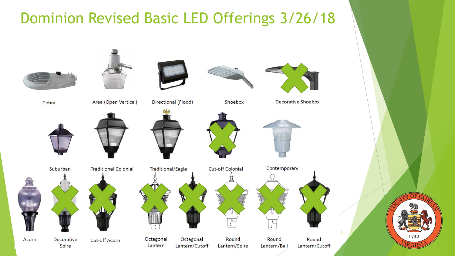## **Dominion Revised Basic LED Offerings 3/26/18**





Area (Open Vertical)



Directional (Flood)



Shoebox



Decorative Shoebox





Round Lantern/Cutoff

6



Spire

Suburban



Decorative Cut-off Acorn

**Traditional Colonial** 



Octagonal

Lantern

Octagonal

Lantern/Cutoff

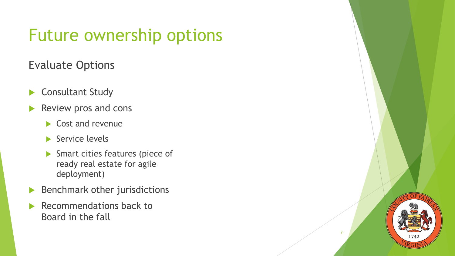# Future ownership options

#### Evaluate Options

- Consultant Study
- Review pros and cons
	- $\blacktriangleright$  Cost and revenue
	- $\blacktriangleright$  Service levels
	- Smart cities features (piece of ready real estate for agile deployment)
- $\blacktriangleright$  Benchmark other jurisdictions
- Recommendations back to Board in the fall



7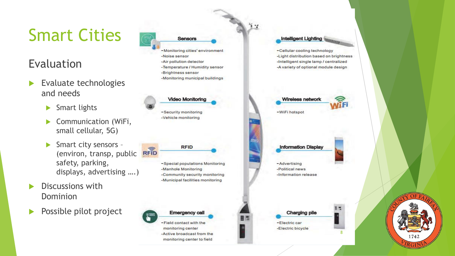# Smart Cities

#### Evaluation

- Evaluate technologies and needs
	- $\blacktriangleright$  Smart lights
	- ▶ Communication (WiFi, small cellular, 5G)
	- Smart city sensors  $RFID$ (environ, transp, public safety, parking, displays, advertising ….)
- Discussions with Dominion
- Possible pilot project



-Monitoring cities' environment -Noise sensor -Air pollution detector -Temperature / Humidity sensor -Brightness sensor -Monitoring municipal buildings

**Video Monitoring** 

-Security monitoring -Vehicle monitoring

-Special populations Monitoring -Manhole Monitoring

**RFID** 

-Community security monitoring -Municipal facilities monitoring



**Emergency cal** 

-Field contact with the monitoring center -Active broadcast from the monitoring center to field